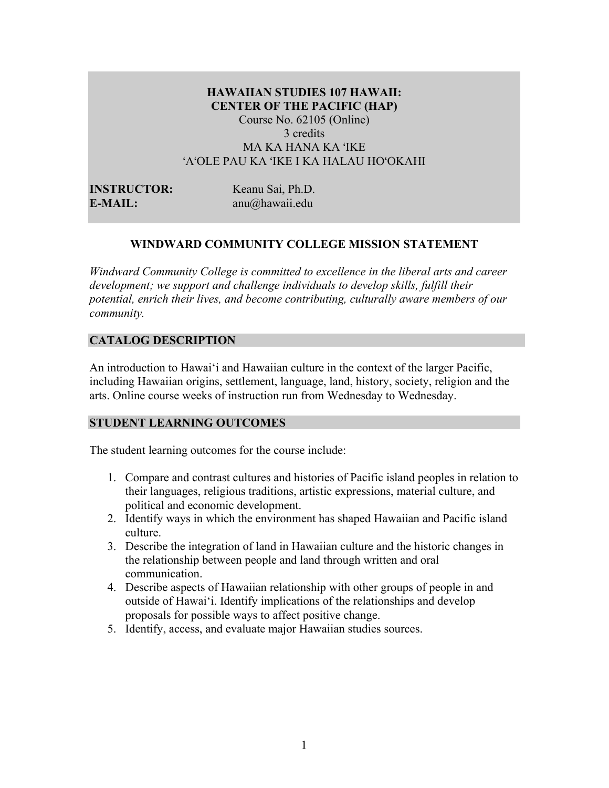# **HAWAIIAN STUDIES 107 HAWAII: CENTER OF THE PACIFIC (HAP)** Course No. 62105 (Online) 3 credits MA KA HANA KA ʻIKE ʻAʻOLE PAU KA ʻIKE I KA HALAU HOʻOKAHI

**INSTRUCTOR:** Keanu Sai, Ph.D. **E-MAIL:** anu@hawaii.edu

# **WINDWARD COMMUNITY COLLEGE MISSION STATEMENT**

*Windward Community College is committed to excellence in the liberal arts and career development; we support and challenge individuals to develop skills, fulfill their potential, enrich their lives, and become contributing, culturally aware members of our community.*

# **CATALOG DESCRIPTION**

An introduction to Hawai'i and Hawaiian culture in the context of the larger Pacific, including Hawaiian origins, settlement, language, land, history, society, religion and the arts. Online course weeks of instruction run from Wednesday to Wednesday.

# **STUDENT LEARNING OUTCOMES**

The student learning outcomes for the course include:

- 1. Compare and contrast cultures and histories of Pacific island peoples in relation to their languages, religious traditions, artistic expressions, material culture, and political and economic development.
- 2. Identify ways in which the environment has shaped Hawaiian and Pacific island culture.
- 3. Describe the integration of land in Hawaiian culture and the historic changes in the relationship between people and land through written and oral communication.
- 4. Describe aspects of Hawaiian relationship with other groups of people in and outside of Hawai'i. Identify implications of the relationships and develop proposals for possible ways to affect positive change.
- 5. Identify, access, and evaluate major Hawaiian studies sources.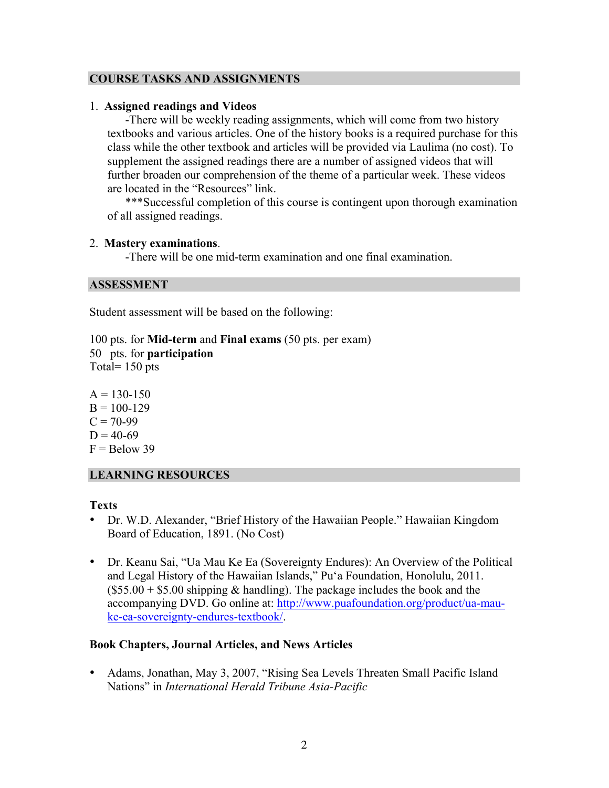# **COURSE TASKS AND ASSIGNMENTS**

# 1. **Assigned readings and Videos**

-There will be weekly reading assignments, which will come from two history textbooks and various articles. One of the history books is a required purchase for this class while the other textbook and articles will be provided via Laulima (no cost). To supplement the assigned readings there are a number of assigned videos that will further broaden our comprehension of the theme of a particular week. These videos are located in the "Resources" link.

\*\*\*Successful completion of this course is contingent upon thorough examination of all assigned readings.

### 2. **Mastery examinations**.

-There will be one mid-term examination and one final examination.

### **ASSESSMENT**

Student assessment will be based on the following:

100 pts. for **Mid-term** and **Final exams** (50 pts. per exam) 50 pts. for **participation**  Total= 150 pts

 $A = 130 - 150$  $B = 100 - 129$  $C = 70-99$  $D = 40-69$  $F =$ Below 39

# **LEARNING RESOURCES**

# **Texts**

- Dr. W.D. Alexander, "Brief History of the Hawaiian People." Hawaiian Kingdom Board of Education, 1891. (No Cost)
- Dr. Keanu Sai, "Ua Mau Ke Ea (Sovereignty Endures): An Overview of the Political and Legal History of the Hawaiian Islands," Pu'a Foundation, Honolulu, 2011.  $($55.00 + $5.00$  shipping & handling). The package includes the book and the accompanying DVD. Go online at: http://www.puafoundation.org/product/ua-mauke-ea-sovereignty-endures-textbook/.

# **Book Chapters, Journal Articles, and News Articles**

• Adams, Jonathan, May 3, 2007, "Rising Sea Levels Threaten Small Pacific Island Nations" in *International Herald Tribune Asia-Pacific*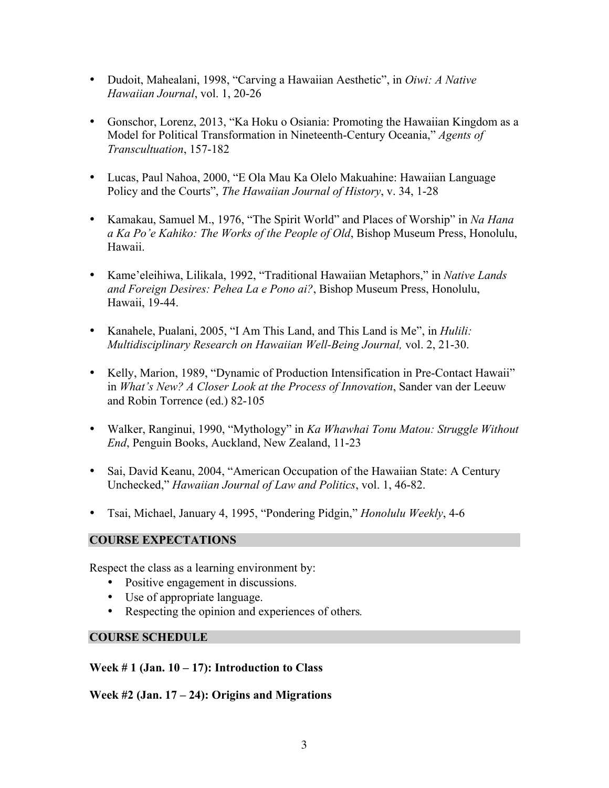- Dudoit, Mahealani, 1998, "Carving a Hawaiian Aesthetic", in *Oiwi: A Native Hawaiian Journal*, vol. 1, 20-26
- Gonschor, Lorenz, 2013, "Ka Hoku o Osiania: Promoting the Hawaiian Kingdom as a Model for Political Transformation in Nineteenth-Century Oceania," *Agents of Transcultuation*, 157-182
- Lucas, Paul Nahoa, 2000, "E Ola Mau Ka Olelo Makuahine: Hawaiian Language Policy and the Courts", *The Hawaiian Journal of History*, v. 34, 1-28
- Kamakau, Samuel M., 1976, "The Spirit World" and Places of Worship" in *Na Hana a Ka Po'e Kahiko: The Works of the People of Old*, Bishop Museum Press, Honolulu, Hawaii.
- Kame'eleihiwa, Lilikala, 1992, "Traditional Hawaiian Metaphors," in *Native Lands and Foreign Desires: Pehea La e Pono ai?*, Bishop Museum Press, Honolulu, Hawaii, 19-44.
- Kanahele, Pualani, 2005, "I Am This Land, and This Land is Me", in *Hulili: Multidisciplinary Research on Hawaiian Well-Being Journal,* vol. 2, 21-30.
- Kelly, Marion, 1989, "Dynamic of Production Intensification in Pre-Contact Hawaii" in *What's New? A Closer Look at the Process of Innovation*, Sander van der Leeuw and Robin Torrence (ed.) 82-105
- Walker, Ranginui, 1990, "Mythology" in *Ka Whawhai Tonu Matou: Struggle Without End*, Penguin Books, Auckland, New Zealand, 11-23
- Sai, David Keanu, 2004, "American Occupation of the Hawaiian State: A Century Unchecked," *Hawaiian Journal of Law and Politics*, vol. 1, 46-82.
- Tsai, Michael, January 4, 1995, "Pondering Pidgin," *Honolulu Weekly*, 4-6

# **COURSE EXPECTATIONS**

Respect the class as a learning environment by:

- Positive engagement in discussions.
- Use of appropriate language.
- Respecting the opinion and experiences of others*.*

# **COURSE SCHEDULE**

**Week # 1 (Jan. 10 – 17): Introduction to Class**

**Week #2 (Jan. 17 – 24): Origins and Migrations**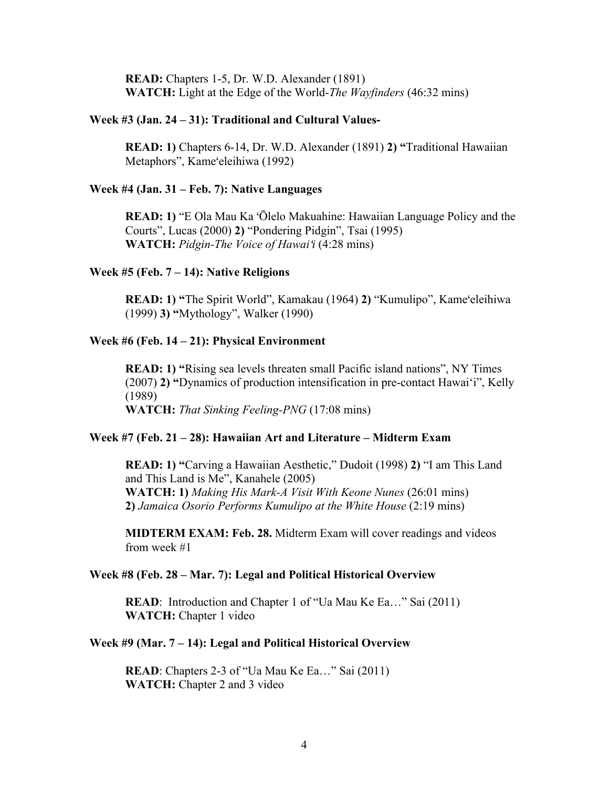**READ:** Chapters 1-5, Dr. W.D. Alexander (1891) **WATCH:** Light at the Edge of the World-*The Wayfinders* (46:32 mins)

#### **Week #3 (Jan. 24 – 31): Traditional and Cultural Values-**

**READ: 1)** Chapters 6-14, Dr. W.D. Alexander (1891) **2) "**Traditional Hawaiian Metaphors", Kameʻeleihiwa (1992)

#### **Week #4 (Jan. 31 – Feb. 7): Native Languages**

**READ: 1)** "E Ola Mau Ka ʻŌlelo Makuahine: Hawaiian Language Policy and the Courts", Lucas (2000) **2)** "Pondering Pidgin", Tsai (1995) **WATCH:** *Pidgin-The Voice of Hawai*ʻ*i* (4:28 mins)

#### **Week #5 (Feb. 7 – 14): Native Religions**

**READ: 1) "**The Spirit World", Kamakau (1964) **2)** "Kumulipo", Kameʻeleihiwa (1999) **3) "**Mythology", Walker (1990)

# **Week #6 (Feb. 14 – 21): Physical Environment**

**READ: 1) "**Rising sea levels threaten small Pacific island nations", NY Times (2007) **2) "**Dynamics of production intensification in pre-contact Hawai'i", Kelly (1989) **WATCH:** *That Sinking Feeling-PNG* (17:08 mins)

#### **Week #7 (Feb. 21 – 28): Hawaiian Art and Literature – Midterm Exam**

**READ: 1) "**Carving a Hawaiian Aesthetic," Dudoit (1998) **2)** "I am This Land and This Land is Me", Kanahele (2005) **WATCH: 1)** *Making His Mark-A Visit With Keone Nunes* (26:01 mins) **2)** *Jamaica Osorio Performs Kumulipo at the White House* (2:19 mins)

**MIDTERM EXAM: Feb. 28.** Midterm Exam will cover readings and videos from week #1

### **Week #8 (Feb. 28 – Mar. 7): Legal and Political Historical Overview**

**READ**: Introduction and Chapter 1 of "Ua Mau Ke Ea..." Sai (2011) **WATCH:** Chapter 1 video

#### **Week #9 (Mar. 7 – 14): Legal and Political Historical Overview**

**READ**: Chapters 2-3 of "Ua Mau Ke Ea..." Sai (2011) **WATCH:** Chapter 2 and 3 video